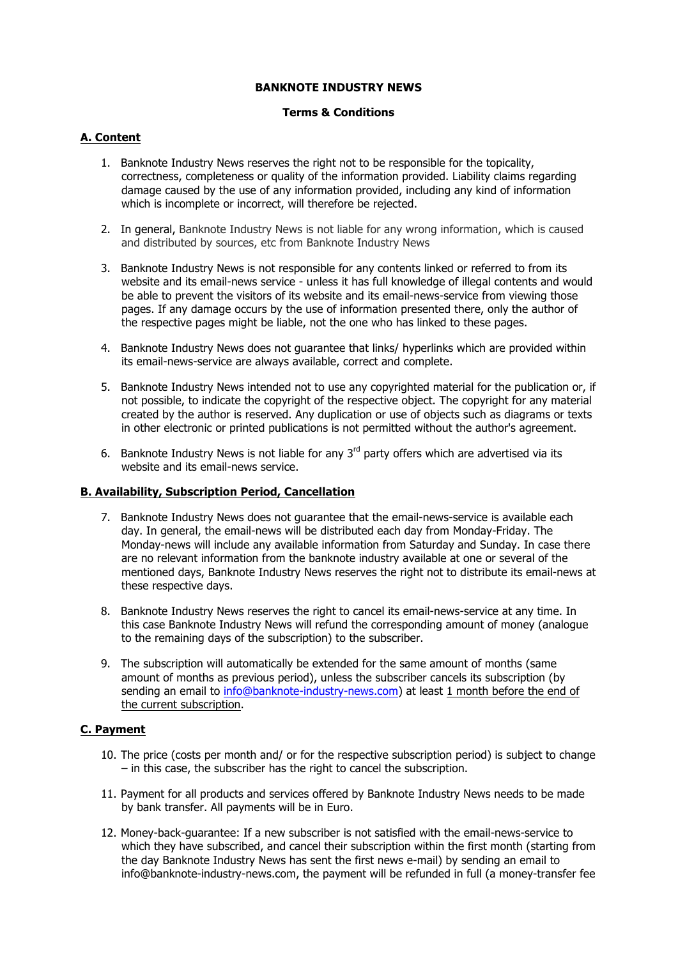## **BANKNOTE INDUSTRY NEWS**

# **Terms & Conditions**

# **A. Content**

- 1. Banknote Industry News reserves the right not to be responsible for the topicality, correctness, completeness or quality of the information provided. Liability claims regarding damage caused by the use of any information provided, including any kind of information which is incomplete or incorrect, will therefore be rejected.
- 2. In general, Banknote Industry News is not liable for any wrong information, which is caused and distributed by sources, etc from Banknote Industry News
- 3. Banknote Industry News is not responsible for any contents linked or referred to from its website and its email-news service - unless it has full knowledge of illegal contents and would be able to prevent the visitors of its website and its email-news-service from viewing those pages. If any damage occurs by the use of information presented there, only the author of the respective pages might be liable, not the one who has linked to these pages.
- 4. Banknote Industry News does not guarantee that links/ hyperlinks which are provided within its email-news-service are always available, correct and complete.
- 5. Banknote Industry News intended not to use any copyrighted material for the publication or, if not possible, to indicate the copyright of the respective object. The copyright for any material created by the author is reserved. Any duplication or use of objects such as diagrams or texts in other electronic or printed publications is not permitted without the author's agreement.
- 6. Banknote Industry News is not liable for any  $3<sup>rd</sup>$  party offers which are advertised via its website and its email-news service.

#### **B. Availability, Subscription Period, Cancellation**

- 7. Banknote Industry News does not guarantee that the email-news-service is available each day. In general, the email-news will be distributed each day from Monday-Friday. The Monday-news will include any available information from Saturday and Sunday. In case there are no relevant information from the banknote industry available at one or several of the mentioned days, Banknote Industry News reserves the right not to distribute its email-news at these respective days.
- 8. Banknote Industry News reserves the right to cancel its email-news-service at any time. In this case Banknote Industry News will refund the corresponding amount of money (analogue to the remaining days of the subscription) to the subscriber.
- 9. The subscription will automatically be extended for the same amount of months (same amount of months as previous period), unless the subscriber cancels its subscription (by sending an email to info@banknote-industry-news.com) at least 1 month before the end of the current subscription.

#### **C. Payment**

- 10. The price (costs per month and/ or for the respective subscription period) is subject to change – in this case, the subscriber has the right to cancel the subscription.
- 11. Payment for all products and services offered by Banknote Industry News needs to be made by bank transfer. All payments will be in Euro.
- 12. Money-back-guarantee: If a new subscriber is not satisfied with the email-news-service to which they have subscribed, and cancel their subscription within the first month (starting from the day Banknote Industry News has sent the first news e-mail) by sending an email to info@banknote-industry-news.com, the payment will be refunded in full (a money-transfer fee